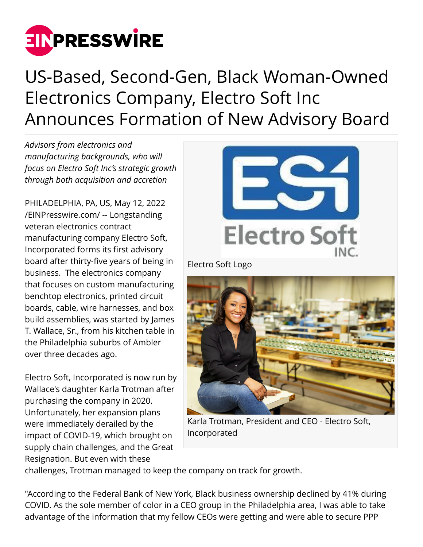

## US-Based, Second-Gen, Black Woman-Owned Electronics Company, Electro Soft Inc Announces Formation of New Advisory Board

*Advisors from electronics and manufacturing backgrounds, who will focus on Electro Soft Inc's strategic growth through both acquisition and accretion*

PHILADELPHIA, PA, US, May 12, 2022 [/EINPresswire.com/](http://www.einpresswire.com) -- Longstanding veteran electronics contract manufacturing company Electro Soft, Incorporated forms its first advisory board after thirty-five years of being in business. The electronics company that focuses on custom manufacturing benchtop electronics, printed circuit boards, cable, wire harnesses, and box build assemblies, was started by James T. Wallace, Sr., from his kitchen table in the Philadelphia suburbs of Ambler over three decades ago.

Electro Soft, Incorporated is now run by Wallace's daughter Karla Trotman after purchasing the company in 2020. Unfortunately, her expansion plans were immediately derailed by the impact of COVID-19, which brought on supply chain challenges, and the Great Resignation. But even with these



Karla Trotman, President and CEO - Electro Soft, Incorporated

challenges, Trotman managed to keep the company on track for growth.

"According to the Federal Bank of New York, Black business ownership declined by 41% during COVID. As the sole member of color in a CEO group in the Philadelphia area, I was able to take advantage of the information that my fellow CEOs were getting and were able to secure PPP